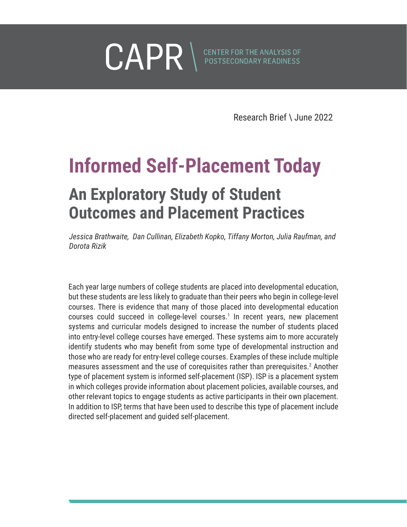<span id="page-0-0"></span>

Research Brief \ June 2022

# **Informed Self-Placement Today**

## **An Exploratory Study of Student Outcomes and Placement Practices**

*Jessica Brathwaite, Dan Cullinan, Elizabeth Kopko, Tiffany Morton, Julia Raufman, and Dorota Rizik*

Each year large numbers of college students are placed into developmental education, but these students are less likely to graduate than their peers who begin in college-level courses. There is evidence that many of those placed into developmental education courses could succeed in college-level courses.<sup>1</sup> In recent years, new placement systems and curricular models designed to increase the number of students placed into entry-level college courses have emerged. These systems aim to more accurately identify students who may benefit from some type of developmental instruction and those who are ready for entry-level college courses. Examples of these include multiple measures assessment and the use of corequisites rather than prerequisites.<sup>2</sup> Another type of placement system is informed self-placement (ISP). ISP is a placement system in which colleges provide information about placement policies, available courses, and other relevant topics to engage students as active participants in their own placement. In addition to ISP, terms that have been used to describe this type of placement include directed self-placement and guided self-placement.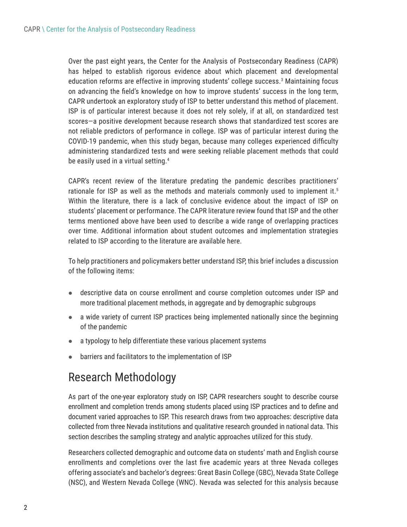<span id="page-1-0"></span>Over the past eight years, the Center for the Analysis of Postsecondary Readiness (CAPR) has helped to establish rigorous evidence about which placement and developmental education reforms are effective in improving students' college success.[3](#page-13-0) Maintaining focus on advancing the field's knowledge on how to improve students' success in the long term, CAPR undertook an exploratory study of ISP to better understand this method of placement. ISP is of particular interest because it does not rely solely, if at all, on standardized test scores—a positive development because research shows that standardized test scores are not reliable predictors of performance in college. ISP was of particular interest during the COVID-19 pandemic, when this study began, because many colleges experienced difficulty administering standardized tests and were seeking reliable placement methods that could be easily used in a virtual setting.<sup>[4](#page-13-0)</sup>

CAPR's recent review of the literature predating the pandemic describes practitioners' rationale for ISP as well as the methods and materials commonly used to implement it.<sup>[5](#page-13-0)</sup> Within the literature, there is a lack of conclusive evidence about the impact of ISP on students' placement or performance. The CAPR literature review found that ISP and the other terms mentioned above have been used to describe a wide range of overlapping practices over time. Additional information about student outcomes and implementation strategies related to ISP according to the literature are available here.

To help practitioners and policymakers better understand ISP, this brief includes a discussion of the following items:

- descriptive data on course enrollment and course completion outcomes under ISP and more traditional placement methods, in aggregate and by demographic subgroups
- $\bullet$  a wide variety of current ISP practices being implemented nationally since the beginning of the pandemic
- $\bullet$  a typology to help differentiate these various placement systems
- barriers and facilitators to the implementation of ISP

## Research Methodology

As part of the one-year exploratory study on ISP, CAPR researchers sought to describe course enrollment and completion trends among students placed using ISP practices and to define and document varied approaches to ISP. This research draws from two approaches: descriptive data collected from three Nevada institutions and qualitative research grounded in national data. This section describes the sampling strategy and analytic approaches utilized for this study.

Researchers collected demographic and outcome data on students' math and English course enrollments and completions over the last five academic years at three Nevada colleges offering associate's and bachelor's degrees: Great Basin College (GBC), Nevada State College (NSC), and Western Nevada College (WNC). Nevada was selected for this analysis because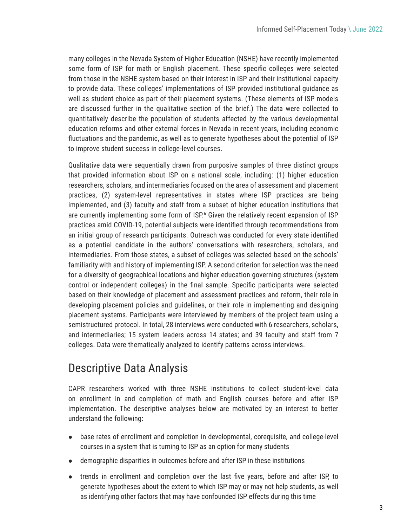<span id="page-2-0"></span>many colleges in the Nevada System of Higher Education (NSHE) have recently implemented some form of ISP for math or English placement. These specific colleges were selected from those in the NSHE system based on their interest in ISP and their institutional capacity to provide data. These colleges' implementations of ISP provided institutional guidance as well as student choice as part of their placement systems. (These elements of ISP models are discussed further in the qualitative section of the brief.) The data were collected to quantitatively describe the population of students affected by the various developmental education reforms and other external forces in Nevada in recent years, including economic fluctuations and the pandemic, as well as to generate hypotheses about the potential of ISP to improve student success in college-level courses.

Qualitative data were sequentially drawn from purposive samples of three distinct groups that provided information about ISP on a national scale, including: (1) higher education researchers, scholars, and intermediaries focused on the area of assessment and placement practices, (2) system-level representatives in states where ISP practices are being implemented, and (3) faculty and staff from a subset of higher education institutions that are currently implementing some form of ISP.<sup>[6](#page-13-0)</sup> Given the relatively recent expansion of ISP practices amid COVID-19, potential subjects were identified through recommendations from an initial group of research participants. Outreach was conducted for every state identified as a potential candidate in the authors' conversations with researchers, scholars, and intermediaries. From those states, a subset of colleges was selected based on the schools' familiarity with and history of implementing ISP. A second criterion for selection was the need for a diversity of geographical locations and higher education governing structures (system control or independent colleges) in the final sample. Specific participants were selected based on their knowledge of placement and assessment practices and reform, their role in developing placement policies and guidelines, or their role in implementing and designing placement systems. Participants were interviewed by members of the project team using a semistructured protocol. In total, 28 interviews were conducted with 6 researchers, scholars, and intermediaries; 15 system leaders across 14 states; and 39 faculty and staff from 7 colleges. Data were thematically analyzed to identify patterns across interviews.

## Descriptive Data Analysis

CAPR researchers worked with three NSHE institutions to collect student-level data on enrollment in and completion of math and English courses before and after ISP implementation. The descriptive analyses below are motivated by an interest to better understand the following:

- base rates of enrollment and completion in developmental, corequisite, and college-level courses in a system that is turning to ISP as an option for many students
- demographic disparities in outcomes before and after ISP in these institutions
- trends in enrollment and completion over the last five years, before and after ISP, to generate hypotheses about the extent to which ISP may or may not help students, as well as identifying other factors that may have confounded ISP effects during this time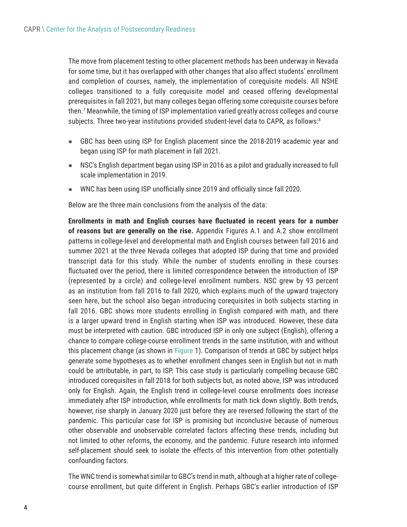<span id="page-3-0"></span>The move from placement testing to other placement methods has been underway in Nevada for some time, but it has overlapped with other changes that also affect students' enrollment and completion of courses, namely, the implementation of corequisite models. All NSHE colleges transitioned to a fully corequisite model and ceased offering developmental prerequisites in fall 2021, but many colleges began offering some corequisite courses before then[.7](#page-13-0) Meanwhile, the timing of ISP implementation varied greatly across colleges and course subjects. Three two-year institutions provided student-level data to CAPR, as follows:<sup>8</sup>

- GBC has been using ISP for English placement since the 2018-2019 academic year and began using ISP for math placement in fall 2021.
- NSC's English department began using ISP in 2016 as a pilot and gradually increased to full scale implementation in 2019.
- WNC has been using ISP unofficially since 2019 and officially since fall 2020.

Below are the three main conclusions from the analysis of the data:

**Enrollments in math and English courses have fluctuated in recent years for a number of reasons but are generally on the rise.** Appendix Figures A.1 and A.2 show enrollment patterns in college-level and developmental math and English courses between fall 2016 and summer 2021 at the three Nevada colleges that adopted ISP during that time and provided transcript data for this study. While the number of students enrolling in these courses fluctuated over the period, there is limited correspondence between the introduction of ISP (represented by a circle) and college-level enrollment numbers. NSC grew by 93 percent as an institution from fall 2016 to fall 2020, which explains much of the upward trajectory seen here, but the school also began introducing corequisites in both subjects starting in fall 2016. GBC shows more students enrolling in English compared with math, and there is a larger upward trend in English starting when ISP was introduced. However, these data must be interpreted with caution. GBC introduced ISP in only one subject (English), offering a chance to compare college-course enrollment trends in the same institution, with and without this placement change (as shown in **Figure** 1). Comparison of trends at GBC by subject helps generate some hypotheses as to whether enrollment changes seen in English but not in math could be attributable, in part, to ISP. This case study is particularly compelling because GBC introduced corequisites in fall 2018 for both subjects but, as noted above, ISP was introduced only for English. Again, the English trend in college-level course enrollments does increase immediately after ISP introduction, while enrollments for math tick down slightly. Both trends, however, rise sharply in January 2020 just before they are reversed following the start of the pandemic. This particular case for ISP is promising but inconclusive because of numerous other observable and unobservable correlated factors affecting these trends, including but not limited to other reforms, the economy, and the pandemic. Future research into informed self-placement should seek to isolate the effects of this intervention from other potentially confounding factors.

The WNC trend is somewhat similar to GBC's trend in math, although at a higher rate of collegecourse enrollment, but quite different in English. Perhaps GBC's earlier introduction of ISP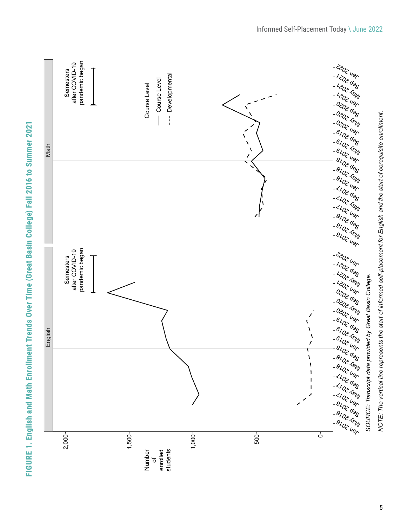|         |                                               |                                                                          |           |             |                                                                                     | Informed Self-Placement Today \ June 2022                                                                                                                                                                                                                                                                                                                                                                                                                                                                                                                                                                                                                     |
|---------|-----------------------------------------------|--------------------------------------------------------------------------|-----------|-------------|-------------------------------------------------------------------------------------|---------------------------------------------------------------------------------------------------------------------------------------------------------------------------------------------------------------------------------------------------------------------------------------------------------------------------------------------------------------------------------------------------------------------------------------------------------------------------------------------------------------------------------------------------------------------------------------------------------------------------------------------------------------|
| Math    | pandemic began<br>after COVID-19<br>Semesters | Developmental<br>Course Level<br>Course Level<br>$\pmb{\mathsf{I}}$<br>ŧ |           | N<br>N<br>Î |                                                                                     | - 202 UBR<br>$1 + 202$ TeW<br>120241<br>$+ 020260$<br>$+ 0202464$<br>1020246<br>$+6202600$<br>$16402A_{UV}$<br>$16/20$ 2 Uer                                                                                                                                                                                                                                                                                                                                                                                                                                                                                                                                  |
|         |                                               |                                                                          |           |             |                                                                                     | NOTE: The vertical line represents the start of informed self-placement for English and the start of corequisite enrollment.<br>$+ \frac{8}{2} \frac{1}{2} \frac{1}{2} \frac{1}{2} \frac{1}{2} \frac{1}{2} \frac{1}{2} \frac{1}{2} \frac{1}{2} \frac{1}{2} \frac{1}{2} \frac{1}{2} \frac{1}{2} \frac{1}{2} \frac{1}{2} \frac{1}{2} \frac{1}{2} \frac{1}{2} \frac{1}{2} \frac{1}{2} \frac{1}{2} \frac{1}{2} \frac{1}{2} \frac{1}{2} \frac{1}{2} \frac{1}{2} \frac{1}{2} \frac{1}{2} \frac{1}{2} \frac{1}{2} \frac{1}{2} \frac$<br>+ 8102 ABW<br>$18/102$ Uer<br>$1 < 100 q0$<br>$1 < 10$ 2 $\pi_{B}$<br>$4402$ Uer<br>$+9/0266$<br>$+9102164$<br>$1.940$ 2 Uer |
| English | pandemic began<br>after COVID-19<br>Semesters |                                                                          |           |             | $\mathcal{L}_{\mathcal{A}}$<br>$\pmb{\mathcal{N}}$<br>$\pmb{\chi}$<br>À<br>$\prime$ | r 2002 UBR<br>$1 + 202$<br>$1 + 202$ TeW<br>120240<br>$+ 0202$<br>$+ 0202164$<br>1020246                                                                                                                                                                                                                                                                                                                                                                                                                                                                                                                                                                      |
|         |                                               |                                                                          |           |             |                                                                                     | SOURCE: Transcript data provided by Great Basin College.                                                                                                                                                                                                                                                                                                                                                                                                                                                                                                                                                                                                      |
|         | 2,000-                                        | $1,500 -$<br>students<br>Number<br>enrolled<br>đ                         | $1,000 -$ | $500 -$     | $\dot{\circ}$                                                                       |                                                                                                                                                                                                                                                                                                                                                                                                                                                                                                                                                                                                                                                               |

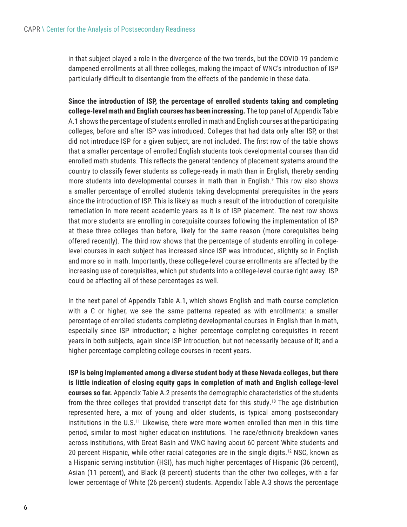<span id="page-5-0"></span>in that subject played a role in the divergence of the two trends, but the COVID-19 pandemic dampened enrollments at all three colleges, making the impact of WNC's introduction of ISP particularly difficult to disentangle from the effects of the pandemic in these data.

**Since the introduction of ISP, the percentage of enrolled students taking and completing college-level math and English courses has been increasing.** The top panel of Appendix Table A.1 shows the percentage of students enrolled in math and English courses at the participating colleges, before and after ISP was introduced. Colleges that had data only after ISP, or that did not introduce ISP for a given subject, are not included. The first row of the table shows that a smaller percentage of enrolled English students took developmental courses than did enrolled math students. This reflects the general tendency of placement systems around the country to classify fewer students as college-ready in math than in English, thereby sending more students into developmental courses in math than in English.<sup>[9](#page-13-0)</sup> This row also shows a smaller percentage of enrolled students taking developmental prerequisites in the years since the introduction of ISP. This is likely as much a result of the introduction of corequisite remediation in more recent academic years as it is of ISP placement. The next row shows that more students are enrolling in corequisite courses following the implementation of ISP at these three colleges than before, likely for the same reason (more corequisites being offered recently). The third row shows that the percentage of students enrolling in collegelevel courses in each subject has increased since ISP was introduced, slightly so in English and more so in math. Importantly, these college-level course enrollments are affected by the increasing use of corequisites, which put students into a college-level course right away. ISP could be affecting all of these percentages as well.

In the next panel of Appendix Table A.1, which shows English and math course completion with a C or higher, we see the same patterns repeated as with enrollments: a smaller percentage of enrolled students completing developmental courses in English than in math, especially since ISP introduction; a higher percentage completing corequisites in recent years in both subjects, again since ISP introduction, but not necessarily because of it; and a higher percentage completing college courses in recent years.

**ISP is being implemented among a diverse student body at these Nevada colleges, but there is little indication of closing equity gaps in completion of math and English college-level courses so far.** Appendix Table A.2 presents the demographic characteristics of the students from the three colleges that provided transcript data for this study.<sup>[10](#page-13-0)</sup> The age distribution represented here, a mix of young and older students, is typical among postsecondary institutions in the U.S[.11](#page-13-0) Likewise, there were more women enrolled than men in this time period, similar to most higher education institutions. The race/ethnicity breakdown varies across institutions, with Great Basin and WNC having about 60 percent White students and 20 percent Hispanic, while other racial categories are in the single digits[.12](#page-13-0) NSC, known as a Hispanic serving institution (HSI), has much higher percentages of Hispanic (36 percent), Asian (11 percent), and Black (8 percent) students than the other two colleges, with a far lower percentage of White (26 percent) students. Appendix Table A.3 shows the percentage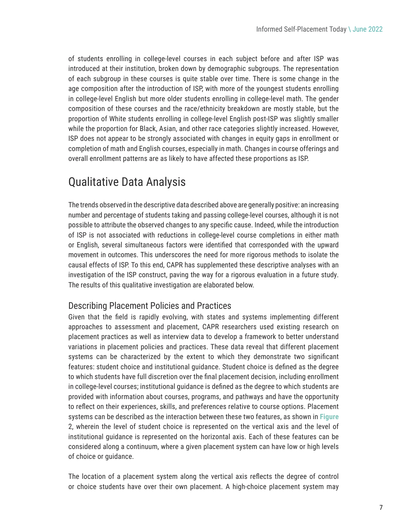of students enrolling in college-level courses in each subject before and after ISP was introduced at their institution, broken down by demographic subgroups. The representation of each subgroup in these courses is quite stable over time. There is some change in the age composition after the introduction of ISP, with more of the youngest students enrolling in college-level English but more older students enrolling in college-level math. The gender composition of these courses and the race/ethnicity breakdown are mostly stable, but the proportion of White students enrolling in college-level English post-ISP was slightly smaller while the proportion for Black, Asian, and other race categories slightly increased. However, ISP does not appear to be strongly associated with changes in equity gaps in enrollment or completion of math and English courses, especially in math. Changes in course offerings and overall enrollment patterns are as likely to have affected these proportions as ISP.

## Qualitative Data Analysis

The trends observed in the descriptive data described above are generally positive: an increasing number and percentage of students taking and passing college-level courses, although it is not possible to attribute the observed changes to any specific cause. Indeed, while the introduction of ISP is not associated with reductions in college-level course completions in either math or English, several simultaneous factors were identified that corresponded with the upward movement in outcomes. This underscores the need for more rigorous methods to isolate the causal effects of ISP. To this end, CAPR has supplemented these descriptive analyses with an investigation of the ISP construct, paving the way for a rigorous evaluation in a future study. The results of this qualitative investigation are elaborated below.

#### Describing Placement Policies and Practices

Given that the field is rapidly evolving, with states and systems implementing different approaches to assessment and placement, CAPR researchers used existing research on placement practices as well as interview data to develop a framework to better understand variations in placement policies and practices. These data reveal that different placement systems can be characterized by the extent to which they demonstrate two significant features: student choice and institutional guidance. Student choice is defined as the degree to which students have full discretion over the final placement decision, including enrollment in college-level courses; institutional guidance is defined as the degree to which students are provided with information about courses, programs, and pathways and have the opportunity to reflect on their experiences, skills, and preferences relative to course options. Placement systems can be described as the interaction between these two features, as shown in **Figure** 2, wherein the level of student choice is represented on the vertical axis and the level of institutional guidance is represented on the horizontal axis. Each of these features can be considered along a continuum, where a given placement system can have low or high levels of choice or guidance.

The location of a placement system along the vertical axis reflects the degree of control or choice students have over their own placement. A high-choice placement system may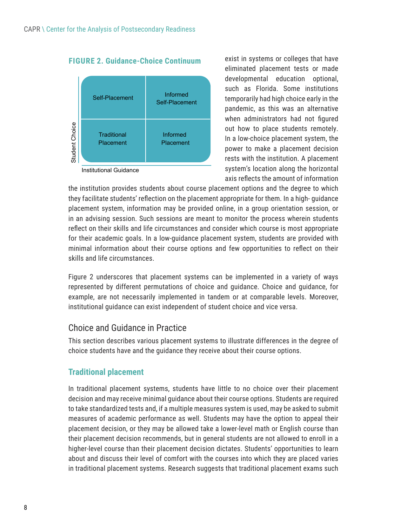

**FIGURE 2. Guidance-Choice Continuum**

Institutional Guidance

exist in systems or colleges that have eliminated placement tests or made developmental education optional, such as Florida. Some institutions temporarily had high choice early in the pandemic, as this was an alternative when administrators had not figured out how to place students remotely. In a low-choice placement system, the power to make a placement decision rests with the institution. A placement system's location along the horizontal axis reflects the amount of information

the institution provides students about course placement options and the degree to which they facilitate students' reflection on the placement appropriate for them. In a high- guidance placement system, information may be provided online, in a group orientation session, or in an advising session. Such sessions are meant to monitor the process wherein students reflect on their skills and life circumstances and consider which course is most appropriate for their academic goals. In a low-guidance placement system, students are provided with minimal information about their course options and few opportunities to reflect on their skills and life circumstances.

Figure 2 underscores that placement systems can be implemented in a variety of ways represented by different permutations of choice and guidance. Choice and guidance, for example, are not necessarily implemented in tandem or at comparable levels. Moreover, institutional guidance can exist independent of student choice and vice versa.

### Choice and Guidance in Practice

This section describes various placement systems to illustrate differences in the degree of choice students have and the guidance they receive about their course options.

### **Traditional placement**

In traditional placement systems, students have little to no choice over their placement decision and may receive minimal guidance about their course options. Students are required to take standardized tests and, if a multiple measures system is used, may be asked to submit measures of academic performance as well. Students may have the option to appeal their placement decision, or they may be allowed take a lower-level math or English course than their placement decision recommends, but in general students are not allowed to enroll in a higher-level course than their placement decision dictates. Students' opportunities to learn about and discuss their level of comfort with the courses into which they are placed varies Franklinnal Informed placement systems. The interved increases that the institutional Couldance<br>
Institutional Guidance<br>
Institutional Guidance<br>
Institutional Guidance<br>
Institutional Guidance<br>
Institutional Guidance<br>
Insti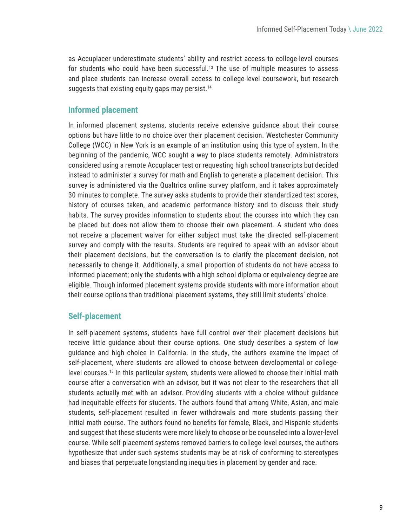<span id="page-8-0"></span>as Accuplacer underestimate students' ability and restrict access to college-level courses for students who could have been successful[.13](#page-13-0) The use of multiple measures to assess and place students can increase overall access to college-level coursework, but research suggests that existing equity gaps may persist.<sup>[14](#page-13-0)</sup>

#### **Informed placement**

In informed placement systems, students receive extensive guidance about their course options but have little to no choice over their placement decision. Westchester Community College (WCC) in New York is an example of an institution using this type of system. In the beginning of the pandemic, WCC sought a way to place students remotely. Administrators considered using a remote Accuplacer test or requesting high school transcripts but decided instead to administer a survey for math and English to generate a placement decision. This survey is administered via the Qualtrics online survey platform, and it takes approximately 30 minutes to complete. The survey asks students to provide their standardized test scores, history of courses taken, and academic performance history and to discuss their study habits. The survey provides information to students about the courses into which they can be placed but does not allow them to choose their own placement. A student who does not receive a placement waiver for either subject must take the directed self-placement survey and comply with the results. Students are required to speak with an advisor about their placement decisions, but the conversation is to clarify the placement decision, not necessarily to change it. Additionally, a small proportion of students do not have access to informed placement; only the students with a high school diploma or equivalency degree are eligible. Though informed placement systems provide students with more information about their course options than traditional placement systems, they still limit students' choice.

### **Self-placement**

In self-placement systems, students have full control over their placement decisions but receive little guidance about their course options. One study describes a system of low guidance and high choice in California. In the study, the authors examine the impact of self-placement, where students are allowed to choose between developmental or collegelevel courses[.15](#page-13-0) In this particular system, students were allowed to choose their initial math course after a conversation with an advisor, but it was not clear to the researchers that all students actually met with an advisor. Providing students with a choice without guidance had inequitable effects for students. The authors found that among White, Asian, and male students, self-placement resulted in fewer withdrawals and more students passing their initial math course. The authors found no benefits for female, Black, and Hispanic students and suggest that these students were more likely to choose or be counseled into a lower-level course. While self-placement systems removed barriers to college-level courses, the authors hypothesize that under such systems students may be at risk of conforming to stereotypes and biases that perpetuate longstanding inequities in placement by gender and race.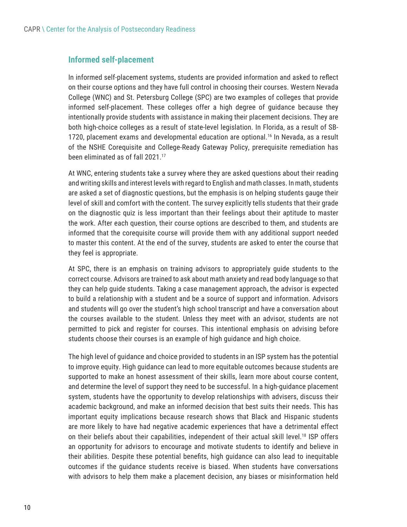#### <span id="page-9-0"></span>**Informed self-placement**

In informed self-placement systems, students are provided information and asked to reflect on their course options and they have full control in choosing their courses. Western Nevada College (WNC) and St. Petersburg College (SPC) are two examples of colleges that provide informed self-placement. These colleges offer a high degree of guidance because they intentionally provide students with assistance in making their placement decisions. They are both high-choice colleges as a result of state-level legislation. In Florida, as a result of SB-1720, placement exams and developmental education are optional.<sup>[16](#page-13-0)</sup> In Nevada, as a result of the NSHE Corequisite and College-Ready Gateway Policy, prerequisite remediation has been eliminated as of fall 2021[.17](#page-13-0)

At WNC, entering students take a survey where they are asked questions about their reading and writing skills and interest levels with regard to English and math classes. In math, students are asked a set of diagnostic questions, but the emphasis is on helping students gauge their level of skill and comfort with the content. The survey explicitly tells students that their grade on the diagnostic quiz is less important than their feelings about their aptitude to master the work. After each question, their course options are described to them, and students are informed that the corequisite course will provide them with any additional support needed to master this content. At the end of the survey, students are asked to enter the course that they feel is appropriate.

At SPC, there is an emphasis on training advisors to appropriately guide students to the correct course. Advisors are trained to ask about math anxiety and read body language so that they can help guide students. Taking a case management approach, the advisor is expected to build a relationship with a student and be a source of support and information. Advisors and students will go over the student's high school transcript and have a conversation about the courses available to the student. Unless they meet with an advisor, students are not permitted to pick and register for courses. This intentional emphasis on advising before students choose their courses is an example of high guidance and high choice.

The high level of guidance and choice provided to students in an ISP system has the potential to improve equity. High guidance can lead to more equitable outcomes because students are supported to make an honest assessment of their skills, learn more about course content, and determine the level of support they need to be successful. In a high-guidance placement system, students have the opportunity to develop relationships with advisers, discuss their academic background, and make an informed decision that best suits their needs. This has important equity implications because research shows that Black and Hispanic students are more likely to have had negative academic experiences that have a detrimental effect on their beliefs about their capabilities, independent of their actual skill level[.18](#page-13-0) ISP offers an opportunity for advisors to encourage and motivate students to identify and believe in their abilities. Despite these potential benefits, high guidance can also lead to inequitable outcomes if the guidance students receive is biased. When students have conversations with advisors to help them make a placement decision, any biases or misinformation held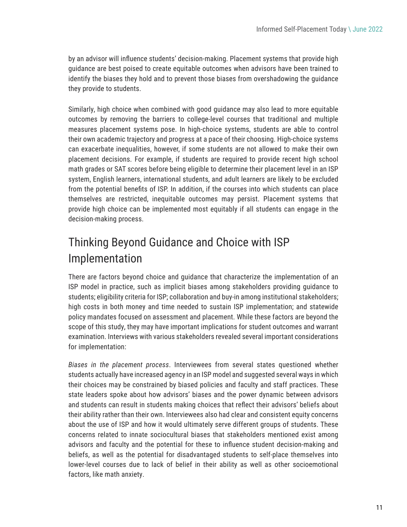by an advisor will influence students' decision-making. Placement systems that provide high guidance are best poised to create equitable outcomes when advisors have been trained to identify the biases they hold and to prevent those biases from overshadowing the guidance they provide to students.

Similarly, high choice when combined with good guidance may also lead to more equitable outcomes by removing the barriers to college-level courses that traditional and multiple measures placement systems pose. In high-choice systems, students are able to control their own academic trajectory and progress at a pace of their choosing. High-choice systems can exacerbate inequalities, however, if some students are not allowed to make their own placement decisions. For example, if students are required to provide recent high school math grades or SAT scores before being eligible to determine their placement level in an ISP system, English learners, international students, and adult learners are likely to be excluded from the potential benefits of ISP. In addition, if the courses into which students can place themselves are restricted, inequitable outcomes may persist. Placement systems that provide high choice can be implemented most equitably if all students can engage in the decision-making process.

## Thinking Beyond Guidance and Choice with ISP Implementation

There are factors beyond choice and guidance that characterize the implementation of an ISP model in practice, such as implicit biases among stakeholders providing guidance to students; eligibility criteria for ISP; collaboration and buy-in among institutional stakeholders; high costs in both money and time needed to sustain ISP implementation; and statewide policy mandates focused on assessment and placement. While these factors are beyond the scope of this study, they may have important implications for student outcomes and warrant examination. Interviews with various stakeholders revealed several important considerations for implementation:

*Biases in the placement process*. Interviewees from several states questioned whether students actually have increased agency in an ISP model and suggested several ways in which their choices may be constrained by biased policies and faculty and staff practices. These state leaders spoke about how advisors' biases and the power dynamic between advisors and students can result in students making choices that reflect their advisors' beliefs about their ability rather than their own. Interviewees also had clear and consistent equity concerns about the use of ISP and how it would ultimately serve different groups of students. These concerns related to innate sociocultural biases that stakeholders mentioned exist among advisors and faculty and the potential for these to influence student decision-making and beliefs, as well as the potential for disadvantaged students to self-place themselves into lower-level courses due to lack of belief in their ability as well as other socioemotional factors, like math anxiety.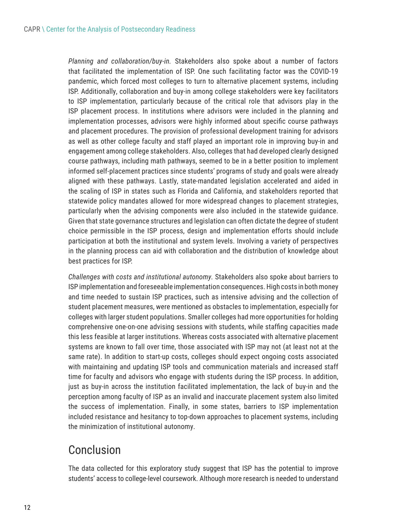*Planning and collaboration/buy-in.* Stakeholders also spoke about a number of factors that facilitated the implementation of ISP. One such facilitating factor was the COVID-19 pandemic, which forced most colleges to turn to alternative placement systems, including ISP. Additionally, collaboration and buy-in among college stakeholders were key facilitators to ISP implementation, particularly because of the critical role that advisors play in the ISP placement process. In institutions where advisors were included in the planning and implementation processes, advisors were highly informed about specific course pathways and placement procedures. The provision of professional development training for advisors as well as other college faculty and staff played an important role in improving buy-in and engagement among college stakeholders. Also, colleges that had developed clearly designed course pathways, including math pathways, seemed to be in a better position to implement informed self-placement practices since students' programs of study and goals were already aligned with these pathways. Lastly, state-mandated legislation accelerated and aided in the scaling of ISP in states such as Florida and California, and stakeholders reported that statewide policy mandates allowed for more widespread changes to placement strategies, particularly when the advising components were also included in the statewide guidance. Given that state governance structures and legislation can often dictate the degree of student choice permissible in the ISP process, design and implementation efforts should include participation at both the institutional and system levels. Involving a variety of perspectives in the planning process can aid with collaboration and the distribution of knowledge about best practices for ISP.

*Challenges with costs and institutional autonomy.* Stakeholders also spoke about barriers to ISP implementation and foreseeable implementation consequences. High costs in both money and time needed to sustain ISP practices, such as intensive advising and the collection of student placement measures, were mentioned as obstacles to implementation, especially for colleges with larger student populations. Smaller colleges had more opportunities for holding comprehensive one-on-one advising sessions with students, while staffing capacities made this less feasible at larger institutions. Whereas costs associated with alternative placement systems are known to fall over time, those associated with ISP may not (at least not at the same rate). In addition to start-up costs, colleges should expect ongoing costs associated with maintaining and updating ISP tools and communication materials and increased staff time for faculty and advisors who engage with students during the ISP process. In addition, just as buy-in across the institution facilitated implementation, the lack of buy-in and the perception among faculty of ISP as an invalid and inaccurate placement system also limited the success of implementation. Finally, in some states, barriers to ISP implementation included resistance and hesitancy to top-down approaches to placement systems, including the minimization of institutional autonomy.

## Conclusion

The data collected for this exploratory study suggest that ISP has the potential to improve students' access to college-level coursework. Although more research is needed to understand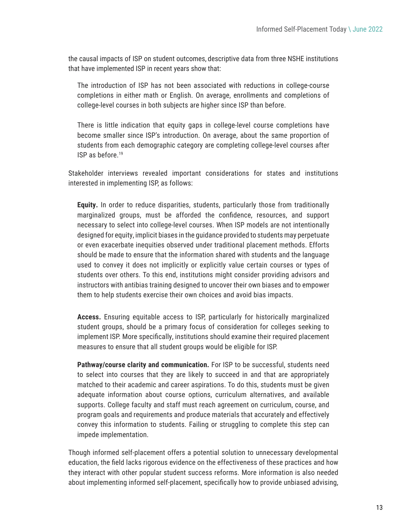<span id="page-12-0"></span>the causal impacts of ISP on student outcomes, descriptive data from three NSHE institutions that have implemented ISP in recent years show that:

The introduction of ISP has not been associated with reductions in college-course completions in either math or English. On average, enrollments and completions of college-level courses in both subjects are higher since ISP than before.

There is little indication that equity gaps in college-level course completions have become smaller since ISP's introduction. On average, about the same proportion of students from each demographic category are completing college-level courses after ISP as before.[19](#page-13-0)

Stakeholder interviews revealed important considerations for states and institutions interested in implementing ISP, as follows:

**Equity.** In order to reduce disparities, students, particularly those from traditionally marginalized groups, must be afforded the confidence, resources, and support necessary to select into college-level courses. When ISP models are not intentionally designed for equity, implicit biases in the guidance provided to students may perpetuate or even exacerbate inequities observed under traditional placement methods. Efforts should be made to ensure that the information shared with students and the language used to convey it does not implicitly or explicitly value certain courses or types of students over others. To this end, institutions might consider providing advisors and instructors with antibias training designed to uncover their own biases and to empower them to help students exercise their own choices and avoid bias impacts.

**Access.** Ensuring equitable access to ISP, particularly for historically marginalized student groups, should be a primary focus of consideration for colleges seeking to implement ISP. More specifically, institutions should examine their required placement measures to ensure that all student groups would be eligible for ISP.

**Pathway/course clarity and communication.** For ISP to be successful, students need to select into courses that they are likely to succeed in and that are appropriately matched to their academic and career aspirations. To do this, students must be given adequate information about course options, curriculum alternatives, and available supports. College faculty and staff must reach agreement on curriculum, course, and program goals and requirements and produce materials that accurately and effectively convey this information to students. Failing or struggling to complete this step can impede implementation.

Though informed self-placement offers a potential solution to unnecessary developmental education, the field lacks rigorous evidence on the effectiveness of these practices and how they interact with other popular student success reforms. More information is also needed about implementing informed self-placement, specifically how to provide unbiased advising,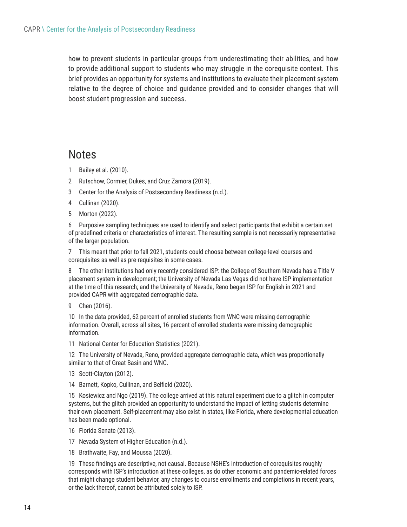<span id="page-13-0"></span>how to prevent students in particular groups from underestimating their abilities, and how to provide additional support to students who may struggle in the corequisite context. This brief provides an opportunity for systems and institutions to evaluate their placement system relative to the degree of choice and guidance provided and to consider changes that will boost student progression and success.

## **Notes**

- [1](#page-0-0) Bailey et al. (2010).
- [2](#page-0-0) Rutschow, Cormier, Dukes, and Cruz Zamora (2019).
- [3](#page-1-0) Center for the Analysis of Postsecondary Readiness (n.d.).
- [4](#page-1-0) Cullinan (2020).
- [5](#page-1-0) Morton (2022).

[6](#page-2-0) Purposive sampling techniques are used to identify and select participants that exhibit a certain set of predefined criteria or characteristics of interest. The resulting sample is not necessarily representative of the larger population.

[7](#page-3-0) This meant that prior to fall 2021, students could choose between college-level courses and corequisites as well as pre-requisites in some cases.

[8](#page-3-0) The other institutions had only recently considered ISP: the College of Southern Nevada has a Title V placement system in development; the University of Nevada Las Vegas did not have ISP implementation at the time of this research; and the University of Nevada, Reno began ISP for English in 2021 and provided CAPR with aggregated demographic data.

[9](#page-5-0) Chen (2016).

[10](#page-5-0) In the data provided, 62 percent of enrolled students from WNC were missing demographic information. Overall, across all sites, 16 percent of enrolled students were missing demographic information.

[11](#page-5-0) National Center for Education Statistics (2021).

[12](#page-5-0) The University of Nevada, Reno, provided aggregate demographic data, which was proportionally similar to that of Great Basin and WNC.

- [13](#page-8-0) Scott-Clayton (2012).
- [14](#page-8-0) Barnett, Kopko, Cullinan, and Belfield (2020).

[15](#page-8-0) Kosiewicz and Ngo (2019). The college arrived at this natural experiment due to a glitch in computer systems, but the glitch provided an opportunity to understand the impact of letting students determine their own placement. Self-placement may also exist in states, like Florida, where developmental education has been made optional.

- [16](#page-9-0) Florida Senate (2013).
- [17](#page-9-0) Nevada System of Higher Education (n.d.).
- [18](#page-9-0) Brathwaite, Fay, and Moussa (2020).

[19](#page-12-0) These findings are descriptive, not causal. Because NSHE's introduction of corequisites roughly corresponds with ISP's introduction at these colleges, as do other economic and pandemic-related forces that might change student behavior, any changes to course enrollments and completions in recent years, or the lack thereof, cannot be attributed solely to ISP.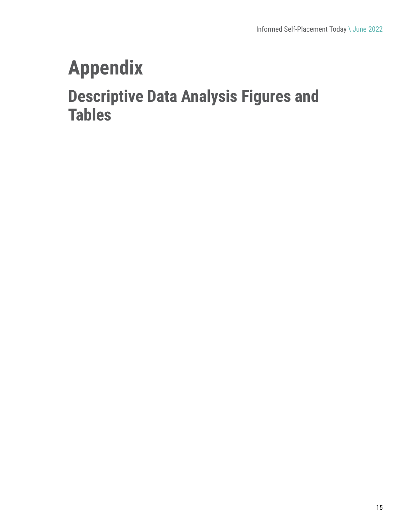# **Appendix**

## **Descriptive Data Analysis Figures and Tables**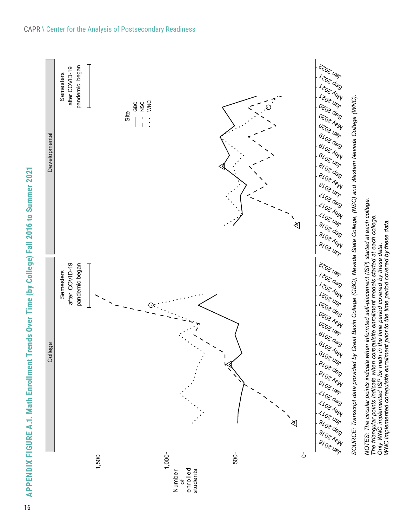APPENDIX FIGURE A.1. Math Enrollment Trends Over Time (by College) Fall 2016 to Summer 2021 **APPENDIX FIGURE A.1. Math Enrollment Trends Over Time (by College) Fall 2016 to Summer 2021**s Over Time (by College) Fall 2016 to Summer 202



*Only WNC implemented ISP for math in the time period covered by these data.*

*WNC implemented corequisite enrollment prior to the time period covered by these data.*

#### CAPR \ Center for the Analysis of Postsecondary Readiness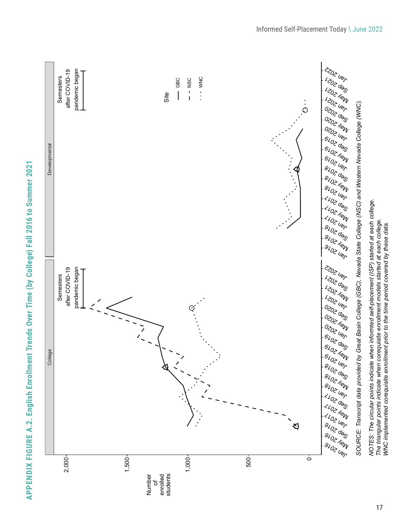

APPENDIX FIGURE A.2. English Enrollment Trends Over Time (by College) Fall 2016 to Summer 2021 **APPENDIX FIGURE A.2. English Enrollment Trends Over Time (by College) Fall 2016 to Summer 2021 English Enrollment Trends Over Time (by College)**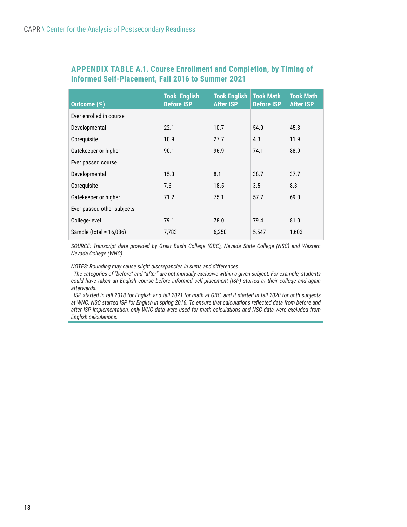#### **APPENDIX TABLE A.1. Course Enrollment and Completion, by Timing of Informed Self-Placement, Fall 2016 to Summer 2021**

| <b>Outcome (%)</b>         | <b>Took English</b><br><b>Before ISP</b> | <b>Took English</b><br><b>After ISP</b> | <b>Took Math</b><br><b>Before ISP</b> | <b>Took Math</b><br><b>After ISP</b> |
|----------------------------|------------------------------------------|-----------------------------------------|---------------------------------------|--------------------------------------|
| Ever enrolled in course    |                                          |                                         |                                       |                                      |
| Developmental              | 22.1                                     | 10.7                                    | 54.0                                  | 45.3                                 |
| Coreguisite                | 10.9                                     | 27.7                                    | 4.3                                   | 11.9                                 |
| Gatekeeper or higher       | 90.1                                     | 96.9                                    | 74.1                                  | 88.9                                 |
| Ever passed course         |                                          |                                         |                                       |                                      |
| Developmental              | 15.3                                     | 8.1                                     | 38.7                                  | 37.7                                 |
| Coreguisite                | 7.6                                      | 18.5                                    | 3.5                                   | 8.3                                  |
| Gatekeeper or higher       | 71.2                                     | 75.1                                    | 57.7                                  | 69.0                                 |
| Ever passed other subjects |                                          |                                         |                                       |                                      |
| College-level              | 79.1                                     | 78.0                                    | 79.4                                  | 81.0                                 |
| Sample (total = 16,086)    | 7,783                                    | 6,250                                   | 5,547                                 | 1,603                                |

*SOURCE: Transcript data provided by Great Basin College (GBC), Nevada State College (NSC) and Western Nevada College (WNC).*

*NOTES: Rounding may cause slight discrepancies in sums and differences.*

*The categories of "before" and "after" are not mutually exclusive within a given subject. For example, students could have taken an English course before informed self-placement (ISP) started at their college and again afterwards.* 

*ISP started in fall 2018 for English and fall 2021 for math at GBC, and it started in fall 2020 for both subjects at WNC. NSC started ISP for English in spring 2016. To ensure that calculations reflected data from before and after ISP implementation, only WNC data were used for math calculations and NSC data were excluded from English calculations.*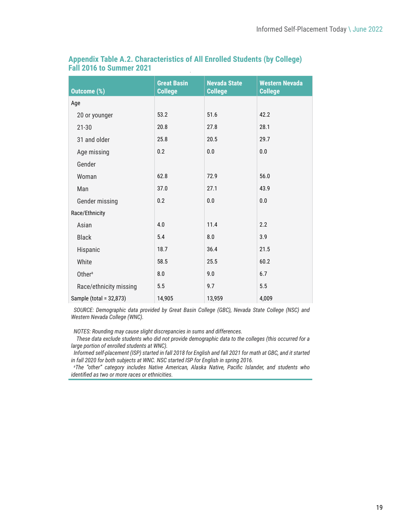| <b>Outcome (%)</b>      | <b>Great Basin</b><br><b>College</b> | <b>Nevada State</b><br><b>College</b> | <b>Western Nevada</b><br><b>College</b> |
|-------------------------|--------------------------------------|---------------------------------------|-----------------------------------------|
| Age                     |                                      |                                       |                                         |
| 20 or younger           | 53.2                                 | 51.6                                  | 42.2                                    |
| $21 - 30$               | 20.8                                 | 27.8                                  | 28.1                                    |
| 31 and older            | 25.8                                 | 20.5                                  | 29.7                                    |
| Age missing             | 0.2                                  | 0.0                                   | 0.0                                     |
| Gender                  |                                      |                                       |                                         |
| Woman                   | 62.8                                 | 72.9                                  | 56.0                                    |
| Man                     | 37.0                                 | 27.1                                  | 43.9                                    |
| Gender missing          | 0.2                                  | 0.0                                   | 0.0                                     |
| Race/Ethnicity          |                                      |                                       |                                         |
| Asian                   | 4.0                                  | 11.4                                  | 2.2                                     |
| <b>Black</b>            | 5.4                                  | 8.0                                   | 3.9                                     |
| Hispanic                | 18.7                                 | 36.4                                  | 21.5                                    |
| White                   | 58.5                                 | 25.5                                  | 60.2                                    |
| Othera                  | 8.0                                  | 9.0                                   | 6.7                                     |
| Race/ethnicity missing  | 5.5                                  | 9.7                                   | 5.5                                     |
| Sample (total = 32,873) | 14,905                               | 13,959                                | 4,009                                   |

#### **Appendix Table A.2. Characteristics of All Enrolled Students (by College) Fall 2016 to Summer 2021**

*SOURCE: Demographic data provided by Great Basin College (GBC), Nevada State College (NSC) and Western Nevada College (WNC).*

*NOTES: Rounding may cause slight discrepancies in sums and differences.*

 *These data exclude students who did not provide demographic data to the colleges (this occurred for a large portion of enrolled students at WNC).* 

*Informed self-placement (ISP) started in fall 2018 for English and fall 2021 for math at GBC, and it started in fall 2020 for both subjects at WNC. NSC started ISP for English in spring 2016.*

*a The "other" category includes Native American, Alaska Native, Pacific Islander, and students who identified as two or more races or ethnicities.*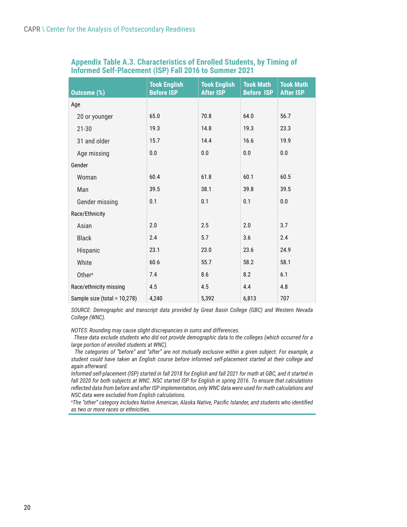| <b>Outcome (%)</b>           | <b>Took English</b><br><b>Before ISP</b> | <b>Took English</b><br><b>After ISP</b> | <b>Took Math</b><br><b>Before ISP</b> | <b>Took Math</b><br><b>After ISP</b> |
|------------------------------|------------------------------------------|-----------------------------------------|---------------------------------------|--------------------------------------|
| Age                          |                                          |                                         |                                       |                                      |
| 20 or younger                | 65.0                                     | 70.8                                    | 64.0                                  | 56.7                                 |
| $21 - 30$                    | 19.3                                     | 14.8                                    | 19.3                                  | 23.3                                 |
| 31 and older                 | 15.7                                     | 14.4                                    | 16.6                                  | 19.9                                 |
| Age missing                  | 0.0                                      | 0.0                                     | $0.0\,$                               | 0.0                                  |
| Gender                       |                                          |                                         |                                       |                                      |
| Woman                        | 60.4                                     | 61.8                                    | 60.1                                  | 60.5                                 |
| Man                          | 39.5                                     | 38.1                                    | 39.8                                  | 39.5                                 |
| Gender missing               | 0.1                                      | 0.1                                     | 0.1                                   | 0.0                                  |
| Race/Ethnicity               |                                          |                                         |                                       |                                      |
| Asian                        | 2.0                                      | 2.5                                     | 2.0                                   | 3.7                                  |
| <b>Black</b>                 | 2.4                                      | 5.7                                     | 3.6                                   | 2.4                                  |
| Hispanic                     | 23.1                                     | 23.0                                    | 23.6                                  | 24.9                                 |
| White                        | 60.6                                     | 55.7                                    | 58.2                                  | 58.1                                 |
| Other <sup>a</sup>           | 7.4                                      | 8.6                                     | 8.2                                   | 6.1                                  |
| Race/ethnicity missing       | 4.5                                      | 4.5                                     | 4.4                                   | 4.8                                  |
| Sample size (total = 10,278) | 4,240                                    | 5,392                                   | 6,813                                 | 707                                  |

#### **Appendix Table A.3. Characteristics of Enrolled Students, by Timing of Informed Self-Placement (ISP) Fall 2016 to Summer 2021**

*SOURCE: Demographic and transcript data provided by Great Basin College (GBC) and Western Nevada College (WNC).*

*NOTES: Rounding may cause slight discrepancies in sums and differences.*

 *These data exclude students who did not provide demographic data to the colleges (which occurred for a large portion of enrolled students at WNC).* 

 *The categories of "before" and "after" are not mutually exclusive within a given subject. For example, a student could have taken an English course before informed self-placement started at their college and again afterward.* 

*Informed self-placement (ISP) started in fall 2018 for English and fall 2021 for math at GBC, and it started in fall 2020 for both subjects at WNC. NSC started ISP for English in spring 2016. To ensure that calculations reflected data from before and after ISP implementation, only WNC data were used for math calculations and NSC data were excluded from English calculations.*

*a The "other" category includes Native American, Alaska Native, Pacific Islander, and students who identified as two or more races or ethnicities.*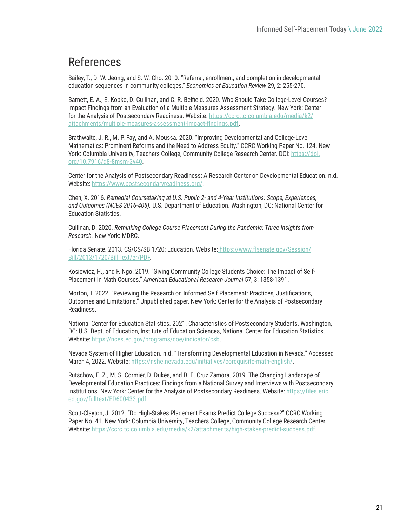## References

Bailey, T., D. W. Jeong, and S. W. Cho. 2010. "Referral, enrollment, and completion in developmental education sequences in community colleges." *Economics of Education Review* 29, 2: 255-270.

Barnett, E. A., E. Kopko, D. Cullinan, and C. R. Belfield. 2020. Who Should Take College-Level Courses? Impact Findings from an Evaluation of a Multiple Measures Assessment Strategy. New York: Center for the Analysis of Postsecondary Readiness. Website: [https://ccrc.tc.columbia.edu/media/k2/](https://ccrc.tc.columbia.edu/media/k2/attachments/multiple-measures-assessment-impact-findings.pdf) [attachments/multiple-measures-assessment-impact-findings.pdf.](https://ccrc.tc.columbia.edu/media/k2/attachments/multiple-measures-assessment-impact-findings.pdf)

Brathwaite, J. R., M. P. Fay, and A. Moussa. 2020. "Improving Developmental and College-Level Mathematics: Prominent Reforms and the Need to Address Equity." CCRC Working Paper No. 124. New York: Columbia University, Teachers College, Community College Research Center. DOI: [https://doi.](https://doi.org/10.7916/d8-8msm-3y40) [org/10.7916/d8-8msm-3y40.](https://doi.org/10.7916/d8-8msm-3y40)

Center for the Analysis of Postsecondary Readiness: A Research Center on Developmental Education. n.d. Website: [https://www.postsecondaryreadiness.org/.](https://www.postsecondaryreadiness.org/)

Chen, X. 2016. *Remedial Coursetaking at U.S. Public 2- and 4-Year Institutions: Scope, Experiences, and Outcomes (NCES 2016-405).* U.S. Department of Education. Washington, DC: National Center for Education Statistics.

Cullinan, D. 2020. *Rethinking College Course Placement During the Pandemic: Three Insights from Research.* New York: MDRC.

Florida Senate. 2013. CS/CS/SB 1720: Education. Website[: https://www.flsenate.gov/Session/](file:///P:/PROJECTS%20-%20Active/CAPR-Center%20for%20Postsecondary%20Readiness/CAPR%20ISP%20Exploratory%20Study%202022/5.%20Embedded%20files%20or%20designer%20layout/%20https:/www.flsenate.gov/Session/Bill/2013/1720/BillText/er/PDF) [Bill/2013/1720/BillText/er/PDF](file:///P:/PROJECTS%20-%20Active/CAPR-Center%20for%20Postsecondary%20Readiness/CAPR%20ISP%20Exploratory%20Study%202022/5.%20Embedded%20files%20or%20designer%20layout/%20https:/www.flsenate.gov/Session/Bill/2013/1720/BillText/er/PDF).

Kosiewicz, H., and F. Ngo. 2019. "Giving Community College Students Choice: The Impact of Self-Placement in Math Courses." *American Educational Research Journal* 57, 3: 1358-1391.

Morton, T. 2022. "Reviewing the Research on Informed Self Placement: Practices, Justifications, Outcomes and Limitations." Unpublished paper. New York: Center for the Analysis of Postsecondary Readiness.

National Center for Education Statistics. 2021. Characteristics of Postsecondary Students. Washington, DC: U.S. Dept. of Education, Institute of Education Sciences, National Center for Education Statistics. Website:<https://nces.ed.gov/programs/coe/indicator/csb>.

Nevada System of Higher Education. n.d. "Transforming Developmental Education in Nevada." Accessed March 4, 2022. Website: <https://nshe.nevada.edu/initiatives/corequisite-math-english/>.

Rutschow, E. Z., M. S. Cormier, D. Dukes, and D. E. Cruz Zamora. 2019. The Changing Landscape of Developmental Education Practices: Findings from a National Survey and Interviews with Postsecondary Institutions. New York: Center for the Analysis of Postsecondary Readiness. Website: [https://files.eric.](https://files.eric.ed.gov/fulltext/ED600433.pdf) [ed.gov/fulltext/ED600433.pdf](https://files.eric.ed.gov/fulltext/ED600433.pdf).

Scott-Clayton, J. 2012. "Do High-Stakes Placement Exams Predict College Success?" CCRC Working Paper No. 41. New York: Columbia University, Teachers College, Community College Research Center. Website:<https://ccrc.tc.columbia.edu/media/k2/attachments/high-stakes-predict-success.pdf>.